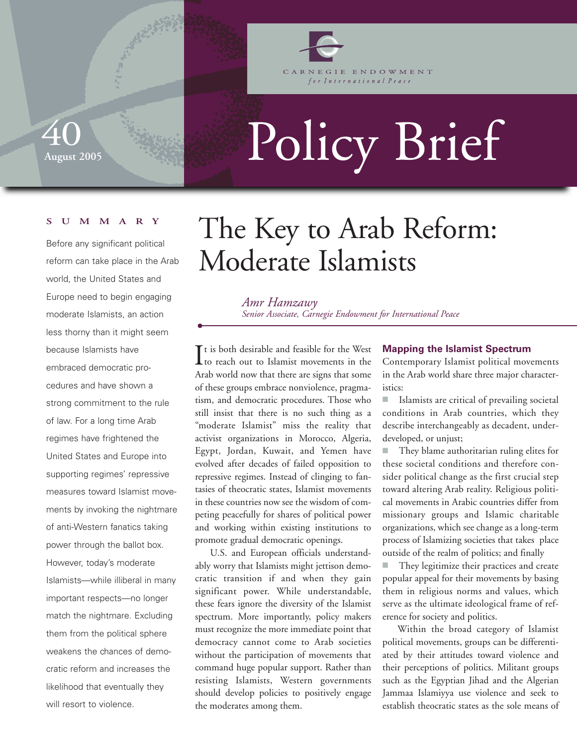

GIE ENDOWMENT for International Peace

Policy Brief

## **SUMMARY**

**August 2005** 

40

Before any significant political reform can take place in the Arab world, the United States and Europe need to begin engaging moderate Islamists, an action less thorny than it might seem because Islamists have embraced democratic procedures and have shown a strong commitment to the rule of law. For a long time Arab regimes have frightened the United States and Europe into supporting regimes' repressive measures toward Islamist movements by invoking the nightmare of anti-Western fanatics taking power through the ballot box. However, today's moderate Islamists—while illiberal in many important respects—no longer match the nightmare. Excluding them from the political sphere weakens the chances of democratic reform and increases the likelihood that eventually they will resort to violence.

# The Key to Arab Reform: Moderate Islamists

*Amr Hamzawy Senior Associate, Carnegie Endowment for International Peace*

 $\prod$ t is both desirable and feasible for the West to reach out to Islamist movements in the  $\mathbf{T}$ t is both desirable and feasible for the West Arab world now that there are signs that some of these groups embrace nonviolence, pragmatism, and democratic procedures. Those who still insist that there is no such thing as a "moderate Islamist" miss the reality that activist organizations in Morocco, Algeria, Egypt, Jordan, Kuwait, and Yemen have evolved after decades of failed opposition to repressive regimes. Instead of clinging to fantasies of theocratic states, Islamist movements in these countries now see the wisdom of competing peacefully for shares of political power and working within existing institutions to promote gradual democratic openings.

U.S. and European officials understandably worry that Islamists might jettison democratic transition if and when they gain significant power. While understandable, these fears ignore the diversity of the Islamist spectrum. More importantly, policy makers must recognize the more immediate point that democracy cannot come to Arab societies without the participation of movements that command huge popular support. Rather than resisting Islamists, Western governments should develop policies to positively engage the moderates among them.

### **Mapping the Islamist Spectrum**

Contemporary Islamist political movements in the Arab world share three major characteristics:

■ Islamists are critical of prevailing societal conditions in Arab countries, which they describe interchangeably as decadent, underdeveloped, or unjust;

They blame authoritarian ruling elites for these societal conditions and therefore consider political change as the first crucial step toward altering Arab reality. Religious political movements in Arabic countries differ from missionary groups and Islamic charitable organizations, which see change as a long-term process of Islamizing societies that takes place outside of the realm of politics; and finally

■ They legitimize their practices and create popular appeal for their movements by basing them in religious norms and values, which serve as the ultimate ideological frame of reference for society and politics.

Within the broad category of Islamist political movements, groups can be differentiated by their attitudes toward violence and their perceptions of politics. Militant groups such as the Egyptian Jihad and the Algerian Jammaa Islamiyya use violence and seek to establish theocratic states as the sole means of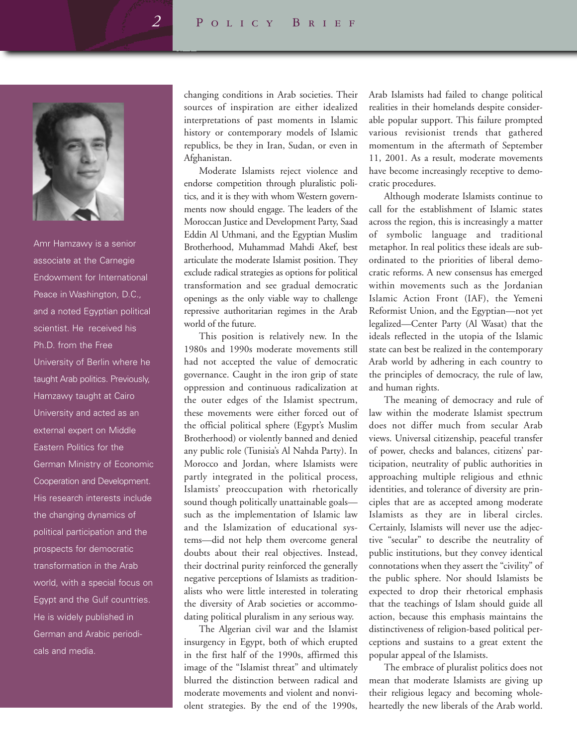

Amr Hamzawy is a senior associate at the Carnegie Endowment for International Peace in Washington, D.C., and a noted Egyptian political scientist. He received his Ph.D. from the Free University of Berlin where he taught Arab politics. Previously, Hamzawy taught at Cairo University and acted as an external expert on Middle Eastern Politics for the German Ministry of Economic Cooperation and Development. His research interests include the changing dynamics of political participation and the prospects for democratic transformation in the Arab world, with a special focus on Egypt and the Gulf countries. He is widely published in German and Arabic periodicals and media.

changing conditions in Arab societies. Their sources of inspiration are either idealized interpretations of past moments in Islamic history or contemporary models of Islamic republics, be they in Iran, Sudan, or even in Afghanistan.

Moderate Islamists reject violence and endorse competition through pluralistic politics, and it is they with whom Western governments now should engage. The leaders of the Moroccan Justice and Development Party, Saad Eddin Al Uthmani, and the Egyptian Muslim Brotherhood, Muhammad Mahdi Akef, best articulate the moderate Islamist position. They exclude radical strategies as options for political transformation and see gradual democratic openings as the only viable way to challenge repressive authoritarian regimes in the Arab world of the future.

This position is relatively new. In the 1980s and 1990s moderate movements still had not accepted the value of democratic governance. Caught in the iron grip of state oppression and continuous radicalization at the outer edges of the Islamist spectrum, these movements were either forced out of the official political sphere (Egypt's Muslim Brotherhood) or violently banned and denied any public role (Tunisia's Al Nahda Party). In Morocco and Jordan, where Islamists were partly integrated in the political process, Islamists' preoccupation with rhetorically sound though politically unattainable goals such as the implementation of Islamic law and the Islamization of educational systems—did not help them overcome general doubts about their real objectives. Instead, their doctrinal purity reinforced the generally negative perceptions of Islamists as traditionalists who were little interested in tolerating the diversity of Arab societies or accommodating political pluralism in any serious way.

The Algerian civil war and the Islamist insurgency in Egypt, both of which erupted in the first half of the 1990s, affirmed this image of the "Islamist threat" and ultimately blurred the distinction between radical and moderate movements and violent and nonviolent strategies. By the end of the 1990s,

Arab Islamists had failed to change political realities in their homelands despite considerable popular support. This failure prompted various revisionist trends that gathered momentum in the aftermath of September 11, 2001. As a result, moderate movements have become increasingly receptive to democratic procedures.

Although moderate Islamists continue to call for the establishment of Islamic states across the region, this is increasingly a matter of symbolic language and traditional metaphor. In real politics these ideals are subordinated to the priorities of liberal democratic reforms. A new consensus has emerged within movements such as the Jordanian Islamic Action Front (IAF), the Yemeni Reformist Union, and the Egyptian—not yet legalized—Center Party (Al Wasat) that the ideals reflected in the utopia of the Islamic state can best be realized in the contemporary Arab world by adhering in each country to the principles of democracy, the rule of law, and human rights.

The meaning of democracy and rule of law within the moderate Islamist spectrum does not differ much from secular Arab views. Universal citizenship, peaceful transfer of power, checks and balances, citizens' participation, neutrality of public authorities in approaching multiple religious and ethnic identities, and tolerance of diversity are principles that are as accepted among moderate Islamists as they are in liberal circles. Certainly, Islamists will never use the adjective "secular" to describe the neutrality of public institutions, but they convey identical connotations when they assert the "civility" of the public sphere. Nor should Islamists be expected to drop their rhetorical emphasis that the teachings of Islam should guide all action, because this emphasis maintains the distinctiveness of religion-based political perceptions and sustains to a great extent the popular appeal of the Islamists.

The embrace of pluralist politics does not mean that moderate Islamists are giving up their religious legacy and becoming wholeheartedly the new liberals of the Arab world.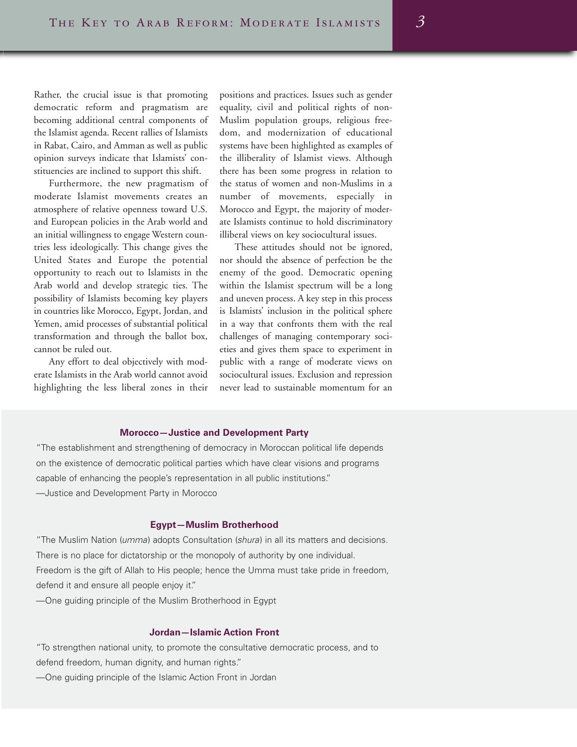Rather, the crucial issue is that promoting democratic reform and pragmatism are becoming additional central components of the Islamist agenda. Recent rallies of Islamists in Rabat, Cairo, and Amman as well as public opinion surveys indicate that Islamists' constituencies are inclined to support this shift.

Furthermore, the new pragmatism of moderate Islamist movements creates an atmosphere of relative openness toward U.S. and European policies in the Arab world and an initial willingness to engage Western countries less ideologically. This change gives the United States and Europe the potential opportunity to reach out to Islamists in the Arab world and develop strategic ties. The possibility of Islamists becoming key players in countries like Morocco, Egypt, Jordan, and Yemen, amid processes of substantial political transformation and through the ballot box, cannot be ruled out.

Any effort to deal objectively with moderate Islamists in the Arab world cannot avoid highlighting the less liberal zones in their positions and practices. Issues such as gender equality, civil and political rights of non-Muslim population groups, religious freedom, and modernization of educational systems have been highlighted as examples of the illiberality of Islamist views. Although there has been some progress in relation to the status of women and non-Muslims in a number of movements, especially in Morocco and Egypt, the majority of moderate Islamists continue to hold discriminatory illiberal views on key sociocultural issues.

These attitudes should not be ignored, nor should the absence of perfection be the enemy of the good. Democratic opening within the Islamist spectrum will be a long and uneven process. A key step in this process is Islamists' inclusion in the political sphere in a way that confronts them with the real challenges of managing contemporary societies and gives them space to experiment in public with a range of moderate views on sociocultural issues. Exclusion and repression never lead to sustainable momentum for an

#### **Morocco—Justice and Development Party**

"The establishment and strengthening of democracy in Moroccan political life depends on the existence of democratic political parties which have clear visions and programs capable of enhancing the people's representation in all public institutions." —Justice and Development Party in Morocco

#### **Egypt—Muslim Brotherhood**

"The Muslim Nation (umma) adopts Consultation (shura) in all its matters and decisions. There is no place for dictatorship or the monopoly of authority by one individual. Freedom is the gift of Allah to His people; hence the Umma must take pride in freedom, defend it and ensure all people enjoy it."

—One guiding principle of the Muslim Brotherhood in Egypt

## **Jordan—Islamic Action Front**

"To strengthen national unity, to promote the consultative democratic process, and to defend freedom, human dignity, and human rights."

—One guiding principle of the Islamic Action Front in Jordan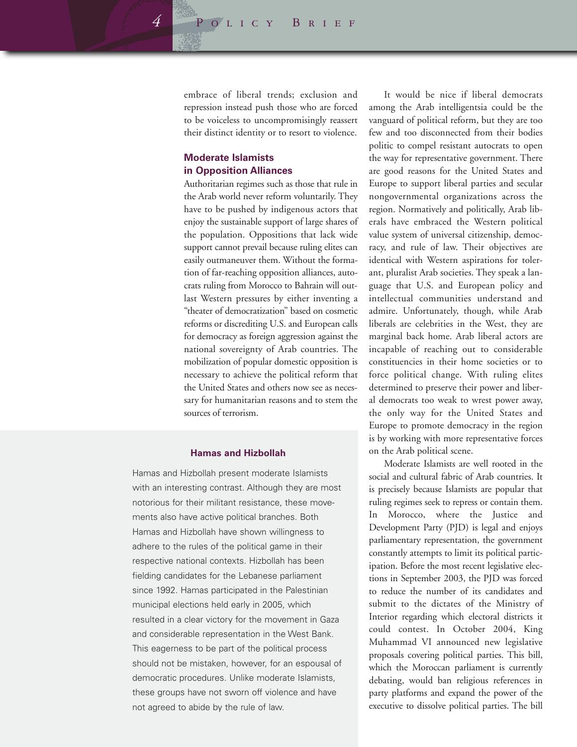embrace of liberal trends; exclusion and repression instead push those who are forced to be voiceless to uncompromisingly reassert their distinct identity or to resort to violence.

## **Moderate Islamists in Opposition Alliances**

Authoritarian regimes such as those that rule in the Arab world never reform voluntarily. They have to be pushed by indigenous actors that enjoy the sustainable support of large shares of the population. Oppositions that lack wide support cannot prevail because ruling elites can easily outmaneuver them. Without the formation of far-reaching opposition alliances, autocrats ruling from Morocco to Bahrain will outlast Western pressures by either inventing a "theater of democratization" based on cosmetic reforms or discrediting U.S. and European calls for democracy as foreign aggression against the national sovereignty of Arab countries. The mobilization of popular domestic opposition is necessary to achieve the political reform that the United States and others now see as necessary for humanitarian reasons and to stem the sources of terrorism.

### **Hamas and Hizbollah**

Hamas and Hizbollah present moderate Islamists with an interesting contrast. Although they are most notorious for their militant resistance, these movements also have active political branches. Both Hamas and Hizbollah have shown willingness to adhere to the rules of the political game in their respective national contexts. Hizbollah has been fielding candidates for the Lebanese parliament since 1992. Hamas participated in the Palestinian municipal elections held early in 2005, which resulted in a clear victory for the movement in Gaza and considerable representation in the West Bank. This eagerness to be part of the political process should not be mistaken, however, for an espousal of democratic procedures. Unlike moderate Islamists, these groups have not sworn off violence and have not agreed to abide by the rule of law.

It would be nice if liberal democrats among the Arab intelligentsia could be the vanguard of political reform, but they are too few and too disconnected from their bodies politic to compel resistant autocrats to open the way for representative government. There are good reasons for the United States and Europe to support liberal parties and secular nongovernmental organizations across the region. Normatively and politically, Arab liberals have embraced the Western political value system of universal citizenship, democracy, and rule of law. Their objectives are identical with Western aspirations for tolerant, pluralist Arab societies. They speak a language that U.S. and European policy and intellectual communities understand and admire. Unfortunately, though, while Arab liberals are celebrities in the West, they are marginal back home. Arab liberal actors are incapable of reaching out to considerable constituencies in their home societies or to force political change. With ruling elites determined to preserve their power and liberal democrats too weak to wrest power away, the only way for the United States and Europe to promote democracy in the region is by working with more representative forces on the Arab political scene.

Moderate Islamists are well rooted in the social and cultural fabric of Arab countries. It is precisely because Islamists are popular that ruling regimes seek to repress or contain them. In Morocco, where the Justice and Development Party (PJD) is legal and enjoys parliamentary representation, the government constantly attempts to limit its political participation. Before the most recent legislative elections in September 2003, the PJD was forced to reduce the number of its candidates and submit to the dictates of the Ministry of Interior regarding which electoral districts it could contest. In October 2004, King Muhammad VI announced new legislative proposals covering political parties. This bill, which the Moroccan parliament is currently debating, would ban religious references in party platforms and expand the power of the executive to dissolve political parties. The bill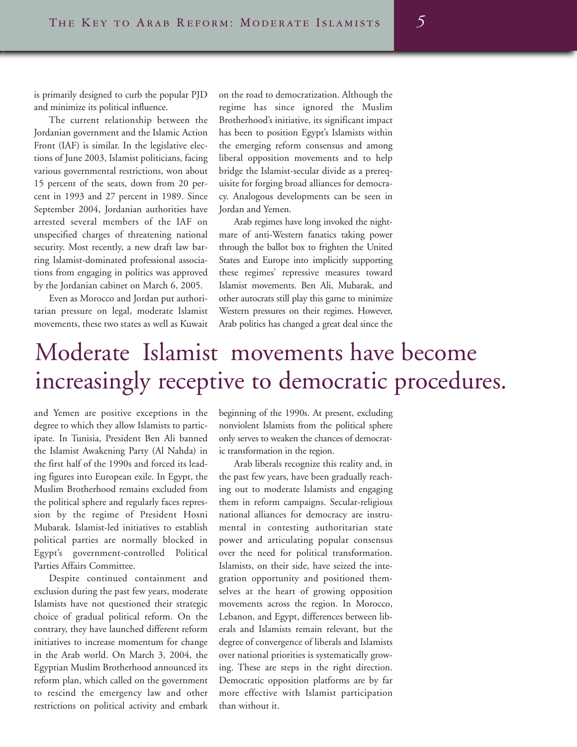is primarily designed to curb the popular PJD and minimize its political influence.

The current relationship between the Jordanian government and the Islamic Action Front (IAF) is similar. In the legislative elections of June 2003, Islamist politicians, facing various governmental restrictions, won about 15 percent of the seats, down from 20 percent in 1993 and 27 percent in 1989. Since September 2004, Jordanian authorities have arrested several members of the IAF on unspecified charges of threatening national security. Most recently, a new draft law barring Islamist-dominated professional associations from engaging in politics was approved by the Jordanian cabinet on March 6, 2005.

Even as Morocco and Jordan put authoritarian pressure on legal, moderate Islamist movements, these two states as well as Kuwait

on the road to democratization. Although the regime has since ignored the Muslim Brotherhood's initiative, its significant impact has been to position Egypt's Islamists within the emerging reform consensus and among liberal opposition movements and to help bridge the Islamist-secular divide as a prerequisite for forging broad alliances for democracy. Analogous developments can be seen in Jordan and Yemen.

Arab regimes have long invoked the nightmare of anti-Western fanatics taking power through the ballot box to frighten the United States and Europe into implicitly supporting these regimes' repressive measures toward Islamist movements. Ben Ali, Mubarak, and other autocrats still play this game to minimize Western pressures on their regimes. However, Arab politics has changed a great deal since the

## Moderate Islamist movements have become increasingly receptive to democratic procedures.

and Yemen are positive exceptions in the degree to which they allow Islamists to participate. In Tunisia, President Ben Ali banned the Islamist Awakening Party (Al Nahda) in the first half of the 1990s and forced its leading figures into European exile. In Egypt, the Muslim Brotherhood remains excluded from the political sphere and regularly faces repression by the regime of President Hosni Mubarak. Islamist-led initiatives to establish political parties are normally blocked in Egypt's government-controlled Political Parties Affairs Committee.

Despite continued containment and exclusion during the past few years, moderate Islamists have not questioned their strategic choice of gradual political reform. On the contrary, they have launched different reform initiatives to increase momentum for change in the Arab world. On March 3, 2004, the Egyptian Muslim Brotherhood announced its reform plan, which called on the government to rescind the emergency law and other restrictions on political activity and embark beginning of the 1990s. At present, excluding nonviolent Islamists from the political sphere only serves to weaken the chances of democratic transformation in the region.

Arab liberals recognize this reality and, in the past few years, have been gradually reaching out to moderate Islamists and engaging them in reform campaigns. Secular-religious national alliances for democracy are instrumental in contesting authoritarian state power and articulating popular consensus over the need for political transformation. Islamists, on their side, have seized the integration opportunity and positioned themselves at the heart of growing opposition movements across the region. In Morocco, Lebanon, and Egypt, differences between liberals and Islamists remain relevant, but the degree of convergence of liberals and Islamists over national priorities is systematically growing. These are steps in the right direction. Democratic opposition platforms are by far more effective with Islamist participation than without it.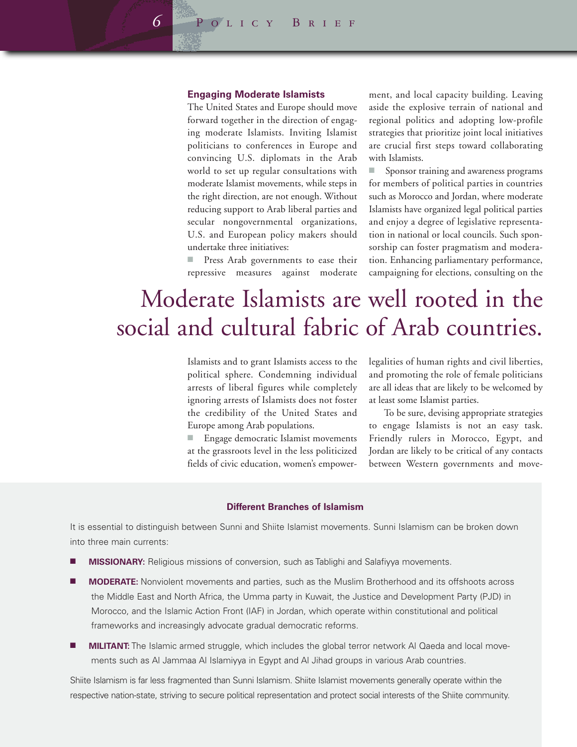#### **Engaging Moderate Islamists**

The United States and Europe should move forward together in the direction of engaging moderate Islamists. Inviting Islamist politicians to conferences in Europe and convincing U.S. diplomats in the Arab world to set up regular consultations with moderate Islamist movements, while steps in the right direction, are not enough. Without reducing support to Arab liberal parties and secular nongovernmental organizations, U.S. and European policy makers should undertake three initiatives:

Press Arab governments to ease their repressive measures against moderate

ment, and local capacity building. Leaving aside the explosive terrain of national and regional politics and adopting low-profile strategies that prioritize joint local initiatives are crucial first steps toward collaborating with Islamists.

■ Sponsor training and awareness programs for members of political parties in countries such as Morocco and Jordan, where moderate Islamists have organized legal political parties and enjoy a degree of legislative representation in national or local councils. Such sponsorship can foster pragmatism and moderation. Enhancing parliamentary performance, campaigning for elections, consulting on the

# Moderate Islamists are well rooted in the social and cultural fabric of Arab countries.

Islamists and to grant Islamists access to the political sphere. Condemning individual arrests of liberal figures while completely ignoring arrests of Islamists does not foster the credibility of the United States and Europe among Arab populations.

Engage democratic Islamist movements at the grassroots level in the less politicized fields of civic education, women's empowerlegalities of human rights and civil liberties, and promoting the role of female politicians are all ideas that are likely to be welcomed by at least some Islamist parties.

To be sure, devising appropriate strategies to engage Islamists is not an easy task. Friendly rulers in Morocco, Egypt, and Jordan are likely to be critical of any contacts between Western governments and move-

## **Different Branches of Islamism**

It is essential to distinguish between Sunni and Shiite Islamist movements. Sunni Islamism can be broken down into three main currents:

- **MISSIONARY:** Religious missions of conversion, such as Tablighi and Salafiyya movements.
- **MODERATE:** Nonviolent movements and parties, such as the Muslim Brotherhood and its offshoots across the Middle East and North Africa, the Umma party in Kuwait, the Justice and Development Party (PJD) in Morocco, and the Islamic Action Front (IAF) in Jordan, which operate within constitutional and political frameworks and increasingly advocate gradual democratic reforms.
- **MILITANT:** The Islamic armed struggle, which includes the global terror network Al Qaeda and local movements such as Al Jammaa Al Islamiyya in Egypt and Al Jihad groups in various Arab countries.

Shiite Islamism is far less fragmented than Sunni Islamism. Shiite Islamist movements generally operate within the respective nation-state, striving to secure political representation and protect social interests of the Shiite community.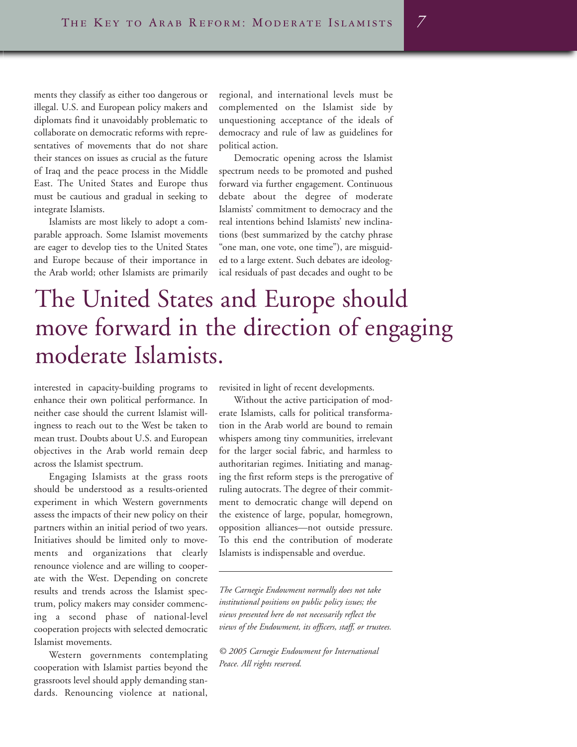ments they classify as either too dangerous or illegal. U.S. and European policy makers and diplomats find it unavoidably problematic to collaborate on democratic reforms with representatives of movements that do not share their stances on issues as crucial as the future of Iraq and the peace process in the Middle East. The United States and Europe thus must be cautious and gradual in seeking to integrate Islamists.

Islamists are most likely to adopt a comparable approach. Some Islamist movements are eager to develop ties to the United States and Europe because of their importance in the Arab world; other Islamists are primarily

regional, and international levels must be complemented on the Islamist side by unquestioning acceptance of the ideals of democracy and rule of law as guidelines for political action.

Democratic opening across the Islamist spectrum needs to be promoted and pushed forward via further engagement. Continuous debate about the degree of moderate Islamists' commitment to democracy and the real intentions behind Islamists' new inclinations (best summarized by the catchy phrase "one man, one vote, one time"), are misguided to a large extent. Such debates are ideological residuals of past decades and ought to be

# The United States and Europe should move forward in the direction of engaging moderate Islamists.

interested in capacity-building programs to enhance their own political performance. In neither case should the current Islamist willingness to reach out to the West be taken to mean trust. Doubts about U.S. and European objectives in the Arab world remain deep across the Islamist spectrum.

Engaging Islamists at the grass roots should be understood as a results-oriented experiment in which Western governments assess the impacts of their new policy on their partners within an initial period of two years. Initiatives should be limited only to movements and organizations that clearly renounce violence and are willing to cooperate with the West. Depending on concrete results and trends across the Islamist spectrum, policy makers may consider commencing a second phase of national-level cooperation projects with selected democratic Islamist movements.

Western governments contemplating cooperation with Islamist parties beyond the grassroots level should apply demanding standards. Renouncing violence at national,

revisited in light of recent developments.

Without the active participation of moderate Islamists, calls for political transformation in the Arab world are bound to remain whispers among tiny communities, irrelevant for the larger social fabric, and harmless to authoritarian regimes. Initiating and managing the first reform steps is the prerogative of ruling autocrats. The degree of their commitment to democratic change will depend on the existence of large, popular, homegrown, opposition alliances—not outside pressure. To this end the contribution of moderate Islamists is indispensable and overdue.

*The Carnegie Endowment normally does not take institutional positions on public policy issues; the views presented here do not necessarily reflect the views of the Endowment, its officers, staff, or trustees.*

*© 2005 Carnegie Endowment for International Peace. All rights reserved.*